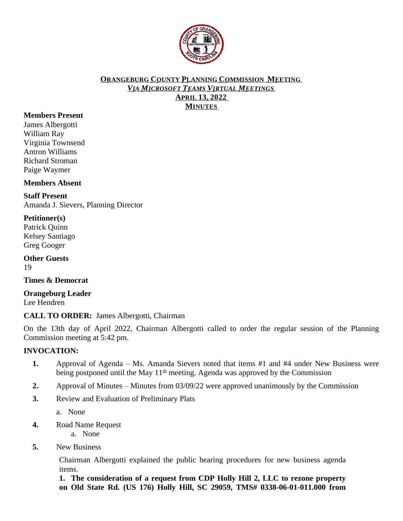

#### **ORANGEBURG COUNTY PLANNING COMMISSION MEETING** *VIA MICROSOFT TEAMS VIRTUAL MEETINGS* **APRIL 13, 2022 MINUTES**

## **Members Present**

James Albergotti William Ray Virginia Townsend Antron Williams Richard Stroman Paige Waymer

**Members Absent**

# **Staff Present**

Amanda J. Sievers, Planning Director

## **Petitioner(s)**

Patrick Quinn Kelsey Santiago Greg Googer

**Other Guests** 19

**Times & Democrat**

**Orangeburg Leader** Lee Hendren

**CALL TO ORDER:** James Albergotti, Chairman

On the 13th day of April 2022, Chairman Albergotti called to order the regular session of the Planning Commission meeting at 5:42 pm.

#### **INVOCATION:**

- **1.** Approval of Agenda Ms. Amanda Sievers noted that items #1 and #4 under New Business were being postponed until the May 11<sup>th</sup> meeting. Agenda was approved by the Commission
- **2.** Approval of Minutes Minutes from 03/09/22 were approved unanimously by the Commission
- **3.** Review and Evaluation of Preliminary Plats

a. None

**4.** Road Name Request

a. None

**5.** New Business

Chairman Albergotti explained the public hearing procedures for new business agenda items.

**1. The consideration of a request from CDP Holly Hill 2, LLC to rezone property on Old State Rd. (US 176) Holly Hill, SC 29059, TMS# 0338-06-01-011.000 from**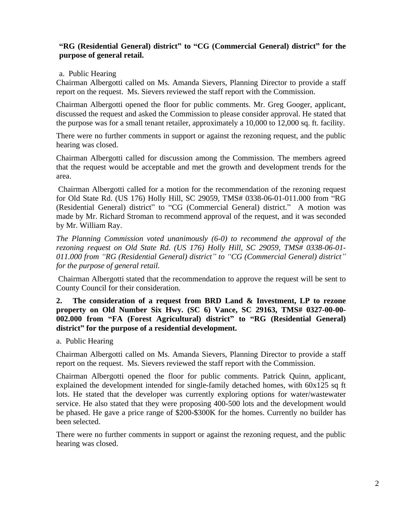# **"RG (Residential General) district" to "CG (Commercial General) district" for the purpose of general retail.**

#### a. Public Hearing

Chairman Albergotti called on Ms. Amanda Sievers, Planning Director to provide a staff report on the request. Ms. Sievers reviewed the staff report with the Commission.

Chairman Albergotti opened the floor for public comments. Mr. Greg Googer, applicant, discussed the request and asked the Commission to please consider approval. He stated that the purpose was for a small tenant retailer, approximately a 10,000 to 12,000 sq. ft. facility.

There were no further comments in support or against the rezoning request, and the public hearing was closed.

Chairman Albergotti called for discussion among the Commission. The members agreed that the request would be acceptable and met the growth and development trends for the area.

Chairman Albergotti called for a motion for the recommendation of the rezoning request for Old State Rd. (US 176) Holly Hill, SC 29059, TMS# 0338-06-01-011.000 from "RG (Residential General) district" to "CG (Commercial General) district." A motion was made by Mr. Richard Stroman to recommend approval of the request, and it was seconded by Mr. William Ray.

*The Planning Commission voted unanimously (6-0) to recommend the approval of the rezoning request on Old State Rd. (US 176) Holly Hill, SC 29059, TMS# 0338-06-01- 011.000 from "RG (Residential General) district" to "CG (Commercial General) district" for the purpose of general retail.*

Chairman Albergotti stated that the recommendation to approve the request will be sent to County Council for their consideration.

**2. The consideration of a request from BRD Land & Investment, LP to rezone property on Old Number Six Hwy. (SC 6) Vance, SC 29163, TMS# 0327-00-00- 002.000 from "FA (Forest Agricultural) district" to "RG (Residential General) district" for the purpose of a residential development.**

a. Public Hearing

Chairman Albergotti called on Ms. Amanda Sievers, Planning Director to provide a staff report on the request. Ms. Sievers reviewed the staff report with the Commission.

Chairman Albergotti opened the floor for public comments. Patrick Quinn, applicant, explained the development intended for single-family detached homes, with 60x125 sq ft lots. He stated that the developer was currently exploring options for water/wastewater service. He also stated that they were proposing 400-500 lots and the development would be phased. He gave a price range of \$200-\$300K for the homes. Currently no builder has been selected.

There were no further comments in support or against the rezoning request, and the public hearing was closed.